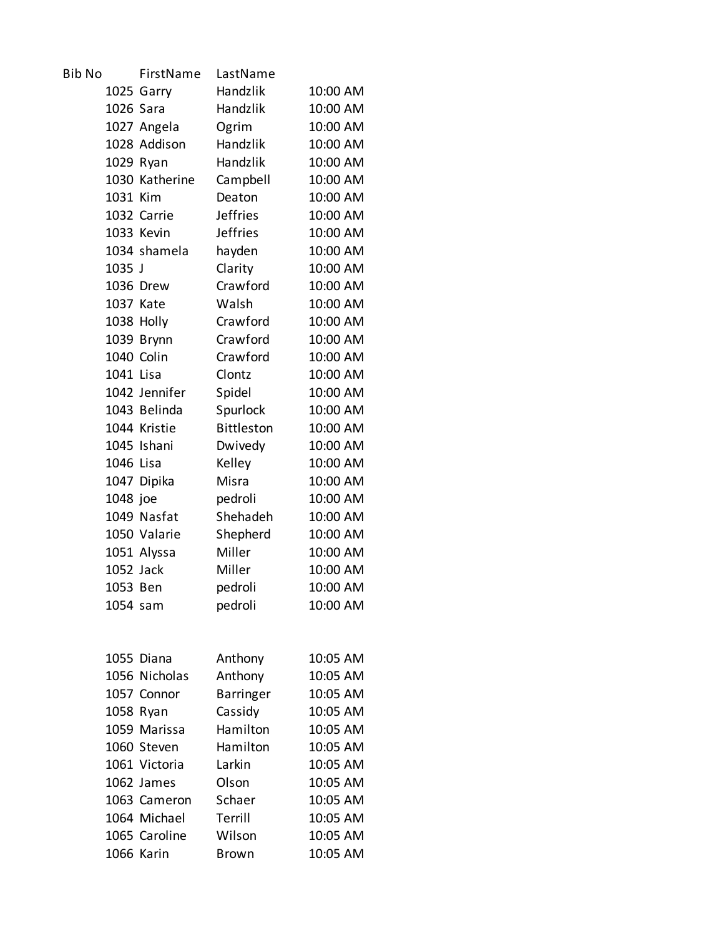| <b>Bib No</b> |           | FirstName      | LastName          |          |
|---------------|-----------|----------------|-------------------|----------|
|               |           | 1025 Garry     | Handzlik          | 10:00 AM |
|               | 1026 Sara |                | Handzlik          | 10:00 AM |
|               |           | 1027 Angela    | Ogrim             | 10:00 AM |
|               |           | 1028 Addison   | <b>Handzlik</b>   | 10:00 AM |
|               | 1029 Ryan |                | Handzlik          | 10:00 AM |
|               |           | 1030 Katherine | Campbell          | 10:00 AM |
|               | 1031 Kim  |                | Deaton            | 10:00 AM |
|               |           | 1032 Carrie    | <b>Jeffries</b>   | 10:00 AM |
|               |           | 1033 Kevin     | <b>Jeffries</b>   | 10:00 AM |
|               |           | 1034 shamela   | hayden            | 10:00 AM |
|               | 1035 J    |                | Clarity           | 10:00 AM |
|               |           | 1036 Drew      | Crawford          | 10:00 AM |
|               | 1037 Kate |                | Walsh             | 10:00 AM |
|               |           | 1038 Holly     | Crawford          | 10:00 AM |
|               |           | 1039 Brynn     | Crawford          | 10:00 AM |
|               |           | 1040 Colin     | Crawford          | 10:00 AM |
|               | 1041 Lisa |                | Clontz            | 10:00 AM |
|               |           | 1042 Jennifer  | Spidel            | 10:00 AM |
|               |           | 1043 Belinda   | Spurlock          | 10:00 AM |
|               |           | 1044 Kristie   | <b>Bittleston</b> | 10:00 AM |
|               |           | 1045 Ishani    | Dwivedy           | 10:00 AM |
|               | 1046 Lisa |                | Kelley            | 10:00 AM |
|               |           | 1047 Dipika    | Misra             | 10:00 AM |
|               | 1048 joe  |                | pedroli           | 10:00 AM |
|               |           | 1049 Nasfat    | Shehadeh          | 10:00 AM |
|               |           | 1050 Valarie   | Shepherd          | 10:00 AM |
|               |           | 1051 Alyssa    | Miller            | 10:00 AM |
|               | 1052 Jack |                | Miller            | 10:00 AM |
|               | 1053 Ben  |                | pedroli           | 10:00 AM |
|               | 1054 sam  |                | pedroli           | 10:00 AM |
|               |           |                |                   |          |
|               |           |                |                   |          |
|               |           | 1055 Diana     | Anthony           | 10:05 AM |
|               |           | 1056 Nicholas  | Anthony           | 10:05 AM |
|               |           | 1057 Connor    | <b>Barringer</b>  | 10:05 AM |
|               | 1058 Ryan |                | Cassidy           | 10:05 AM |
|               |           | 1059 Marissa   | Hamilton          | 10:05 AM |
|               |           | 1060 Steven    | Hamilton          | 10:05 AM |
|               |           | 1061 Victoria  | Larkin            | 10:05 AM |
|               |           | 1062 James     | Olson             | 10:05 AM |
|               |           | 1063 Cameron   | Schaer            | 10:05 AM |
|               |           | 1064 Michael   | Terrill           | 10:05 AM |
|               |           | 1065 Caroline  | Wilson            | 10:05 AM |
|               |           | 1066 Karin     | <b>Brown</b>      | 10:05 AM |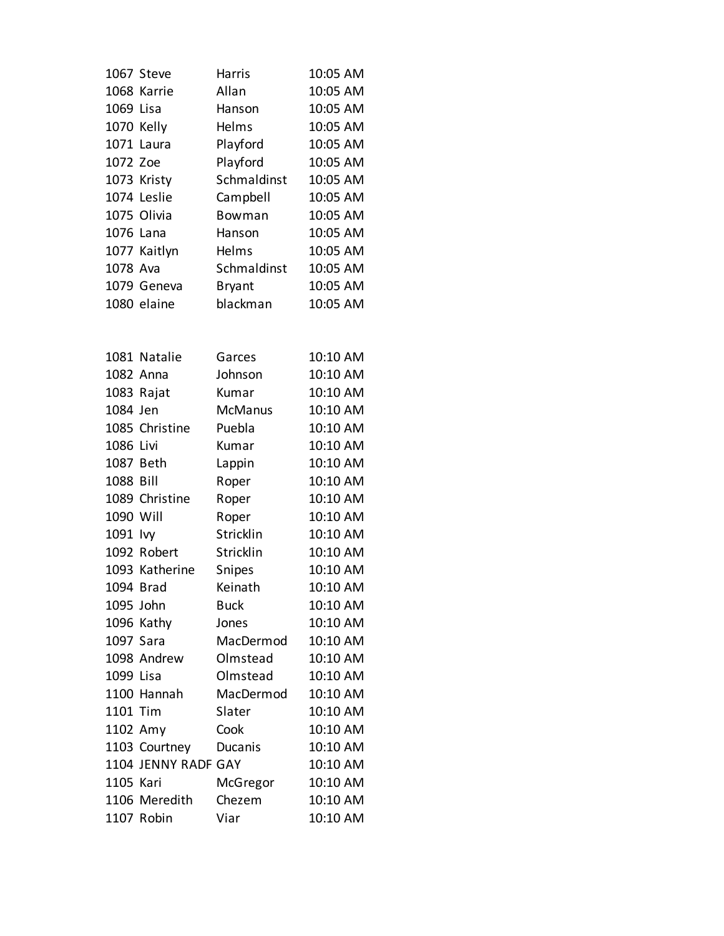|            | 1067 Steve          | <b>Harris</b>  | 10:05 AM |
|------------|---------------------|----------------|----------|
|            | 1068 Karrie         | Allan          | 10:05 AM |
| 1069 Lisa  |                     | Hanson         | 10:05 AM |
| 1070 Kelly |                     | Helms          | 10:05 AM |
|            | 1071 Laura          | Playford       | 10:05 AM |
| 1072 Zoe   |                     | Playford       | 10:05 AM |
|            | 1073 Kristy         | Schmaldinst    | 10:05 AM |
|            | 1074 Leslie         | Campbell       | 10:05 AM |
|            | 1075 Olivia         | Bowman         | 10:05 AM |
| 1076 Lana  |                     | Hanson         | 10:05 AM |
|            | 1077 Kaitlyn        | Helms          | 10:05 AM |
| 1078 Ava   |                     | Schmaldinst    | 10:05 AM |
|            | 1079 Geneva         | <b>Bryant</b>  | 10:05 AM |
|            | 1080 elaine         | blackman       | 10:05 AM |
|            |                     |                |          |
|            | 1081 Natalie        | Garces         | 10:10 AM |
|            | 1082 Anna           | Johnson        | 10:10 AM |
|            | 1083 Rajat          | Kumar          | 10:10 AM |
| 1084 Jen   |                     | <b>McManus</b> | 10:10 AM |
|            | 1085 Christine      | Puebla         | 10:10 AM |
| 1086 Livi  |                     | Kumar          | 10:10 AM |
| 1087 Beth  |                     | Lappin         | 10:10 AM |
| 1088 Bill  |                     | Roper          | 10:10 AM |
|            | 1089 Christine      | Roper          | 10:10 AM |
| 1090 Will  |                     | Roper          | 10:10 AM |
| 1091 lvy   |                     | Stricklin      | 10:10 AM |
|            | 1092 Robert         | Stricklin      | 10:10 AM |
|            | 1093 Katherine      | Snipes         | 10:10 AM |
| 1094 Brad  |                     | Keinath        | 10:10 AM |
| 1095 John  |                     | <b>Buck</b>    | 10:10 AM |
|            | 1096 Kathy          | Jones          | 10:10 AM |
| 1097 Sara  |                     | MacDermod      | 10:10 AM |
|            | 1098 Andrew         | Olmstead       | 10:10 AM |
| 1099 Lisa  |                     | Olmstead       | 10:10 AM |
|            | 1100 Hannah         | MacDermod      | 10:10 AM |
| 1101 Tim   |                     | Slater         | 10:10 AM |
| 1102 Amy   |                     | Cook           | 10:10 AM |
|            | 1103 Courtney       | Ducanis        | 10:10 AM |
|            | 1104 JENNY RADF GAY |                | 10:10 AM |
| 1105 Kari  |                     | McGregor       | 10:10 AM |
|            | 1106 Meredith       | Chezem         | 10:10 AM |
|            | 1107 Robin          | Viar           | 10:10 AM |